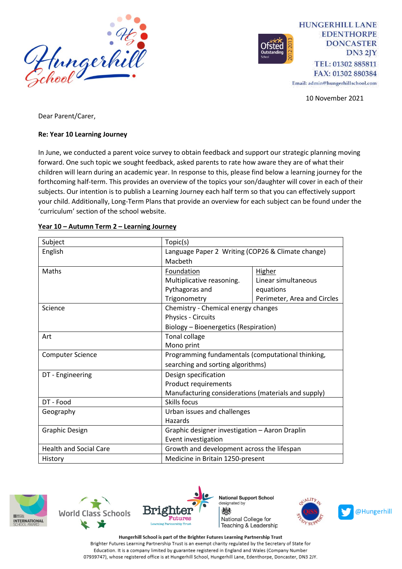

**HUNGERHILL LANE EDENTHORPE DONCASTER**  $DN32IY$ TEL: 01302 885811 FAX: 01302 880384

Email: admin@hungerhillschool.com

10 November 2021

Dear Parent/Carer,

### **Re: Year 10 Learning Journey**

In June, we conducted a parent voice survey to obtain feedback and support our strategic planning moving forward. One such topic we sought feedback, asked parents to rate how aware they are of what their children will learn during an academic year. In response to this, please find below a learning journey for the forthcoming half-term. This provides an overview of the topics your son/daughter will cover in each of their subjects. Our intention is to publish a Learning Journey each half term so that you can effectively support your child. Additionally, Long-Term Plans that provide an overview for each subject can be found under the 'curriculum' section of the school website.

| Subject                       | Topic(s)                                                                               |                             |
|-------------------------------|----------------------------------------------------------------------------------------|-----------------------------|
| English                       | Language Paper 2 Writing (COP26 & Climate change)                                      |                             |
|                               | Macbeth                                                                                |                             |
| Maths                         | Foundation                                                                             | <b>Higher</b>               |
|                               | Multiplicative reasoning.                                                              | Linear simultaneous         |
|                               | Pythagoras and                                                                         | equations                   |
|                               | Trigonometry                                                                           | Perimeter, Area and Circles |
| Science                       | Chemistry - Chemical energy changes                                                    |                             |
|                               | Physics - Circuits                                                                     |                             |
|                               | Biology - Bioenergetics (Respiration)                                                  |                             |
| Art                           | Tonal collage                                                                          |                             |
|                               | Mono print                                                                             |                             |
| <b>Computer Science</b>       | Programming fundamentals (computational thinking,<br>searching and sorting algorithms) |                             |
|                               |                                                                                        |                             |
| DT - Engineering              | Design specification                                                                   |                             |
|                               | Product requirements                                                                   |                             |
|                               | Manufacturing considerations (materials and supply)                                    |                             |
| DT - Food                     | Skills focus                                                                           |                             |
| Geography                     | Urban issues and challenges                                                            |                             |
|                               | Hazards                                                                                |                             |
| <b>Graphic Design</b>         | Graphic designer investigation - Aaron Draplin<br>Event investigation                  |                             |
|                               |                                                                                        |                             |
| <b>Health and Social Care</b> | Growth and development across the lifespan                                             |                             |
| History                       | Medicine in Britain 1250-present                                                       |                             |

#### **Year 10 – Autumn Term 2 – Learning Journey**







**National Support School** designated by 燃 National College for Teaching & Leadership



Hungerhill School is part of the Brighter Futures Learning Partnership Trust Brighter Futures Learning Partnership Trust is an exempt charity regulated by the Secretary of State for Education. It is a company limited by guarantee registered in England and Wales (Company Number 07939747), whose registered office is at Hungerhill School, Hungerhill Lane, Edenthorpe, Doncaster, DN3 2JY.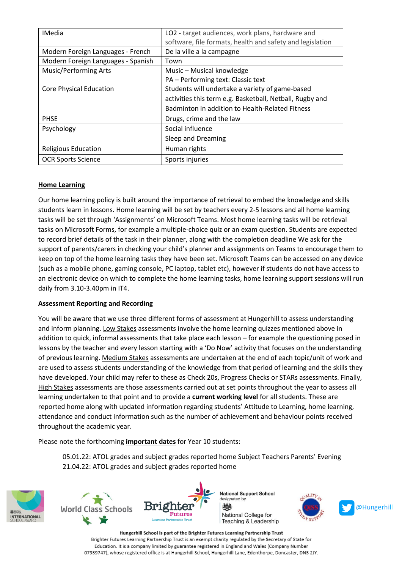| <b>IMedia</b>                      | LO2 - target audiences, work plans, hardware and<br>software, file formats, health and safety and legislation |  |
|------------------------------------|---------------------------------------------------------------------------------------------------------------|--|
| Modern Foreign Languages - French  | De la ville a la campagne                                                                                     |  |
| Modern Foreign Languages - Spanish | Town                                                                                                          |  |
| <b>Music/Performing Arts</b>       | Music - Musical knowledge                                                                                     |  |
|                                    | PA - Performing text: Classic text                                                                            |  |
| <b>Core Physical Education</b>     | Students will undertake a variety of game-based                                                               |  |
|                                    | activities this term e.g. Basketball, Netball, Rugby and                                                      |  |
|                                    | Badminton in addition to Health-Related Fitness                                                               |  |
| <b>PHSE</b>                        | Drugs, crime and the law                                                                                      |  |
| Psychology                         | Social influence                                                                                              |  |
|                                    | Sleep and Dreaming                                                                                            |  |
| <b>Religious Education</b>         | Human rights                                                                                                  |  |
| <b>OCR Sports Science</b>          | Sports injuries                                                                                               |  |

# **Home Learning**

Our home learning policy is built around the importance of retrieval to embed the knowledge and skills students learn in lessons. Home learning will be set by teachers every 2-5 lessons and all home learning tasks will be set through 'Assignments' on Microsoft Teams. Most home learning tasks will be retrieval tasks on Microsoft Forms, for example a multiple-choice quiz or an exam question. Students are expected to record brief details of the task in their planner, along with the completion deadline We ask for the support of parents/carers in checking your child's planner and assignments on Teams to encourage them to keep on top of the home learning tasks they have been set. Microsoft Teams can be accessed on any device (such as a mobile phone, gaming console, PC laptop, tablet etc), however if students do not have access to an electronic device on which to complete the home learning tasks, home learning support sessions will run daily from 3.10-3.40pm in IT4.

# **Assessment Reporting and Recording**

You will be aware that we use three different forms of assessment at Hungerhill to assess understanding and inform planning. Low Stakes assessments involve the home learning quizzes mentioned above in addition to quick, informal assessments that take place each lesson – for example the questioning posed in lessons by the teacher and every lesson starting with a 'Do Now' activity that focuses on the understanding of previous learning. Medium Stakes assessments are undertaken at the end of each topic/unit of work and are used to assess students understanding of the knowledge from that period of learning and the skills they have developed. Your child may refer to these as Check 20s, Progress Checks or STARs assessments. Finally, High Stakes assessments are those assessments carried out at set points throughout the year to assess all learning undertaken to that point and to provide a **current working level** for all students. These are reported home along with updated information regarding students' Attitude to Learning, home learning, attendance and conduct information such as the number of achievement and behaviour points received throughout the academic year.

Please note the forthcoming **important dates** for Year 10 students:

05.01.22: ATOL grades and subject grades reported home Subject Teachers Parents' Evening 21.04.22: ATOL grades and subject grades reported home







**National Support School** designated by 燃 National College for Teaching & Leadership



Hungerhill School is part of the Brighter Futures Learning Partnership Trust Brighter Futures Learning Partnership Trust is an exempt charity regulated by the Secretary of State for Education. It is a company limited by guarantee registered in England and Wales (Company Number 07939747), whose registered office is at Hungerhill School, Hungerhill Lane, Edenthorpe, Doncaster, DN3 2JY.